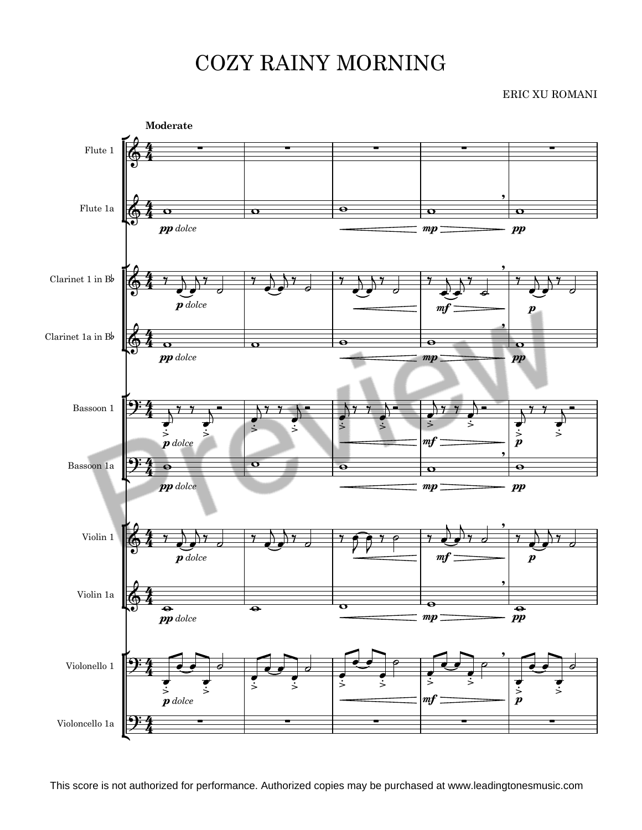## COZY RAINY MORNING

ERIC XU ROMANI

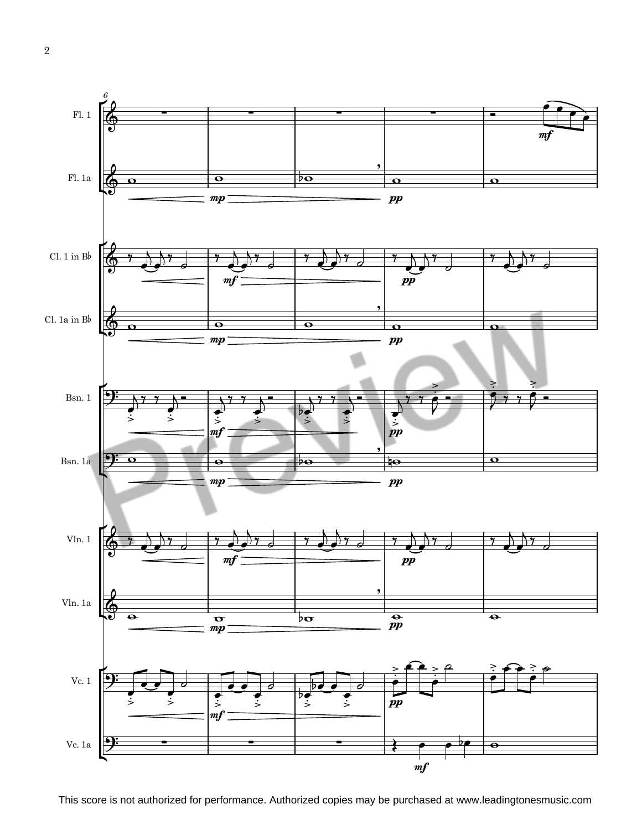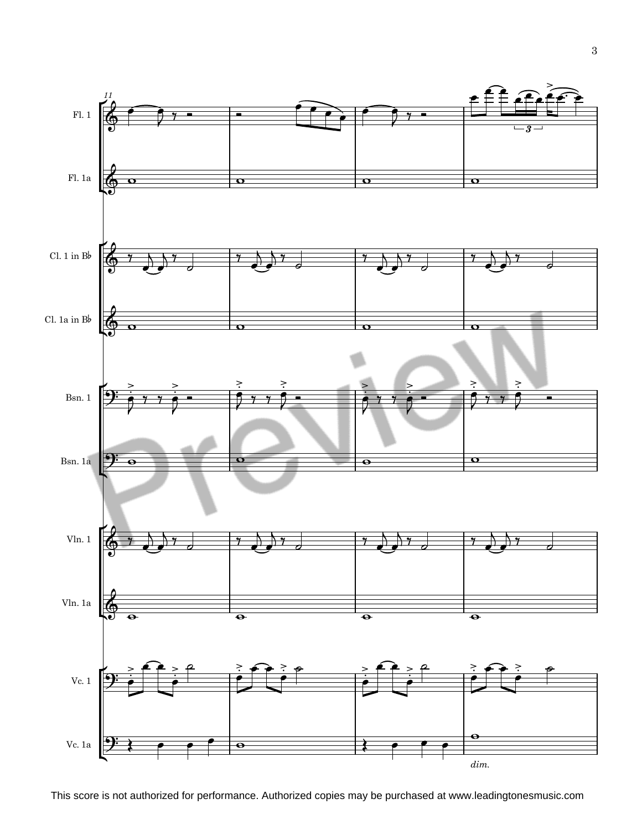

This score is not authorized for performance. Authorized copies may be purchased at www.leadingtonesmusic.com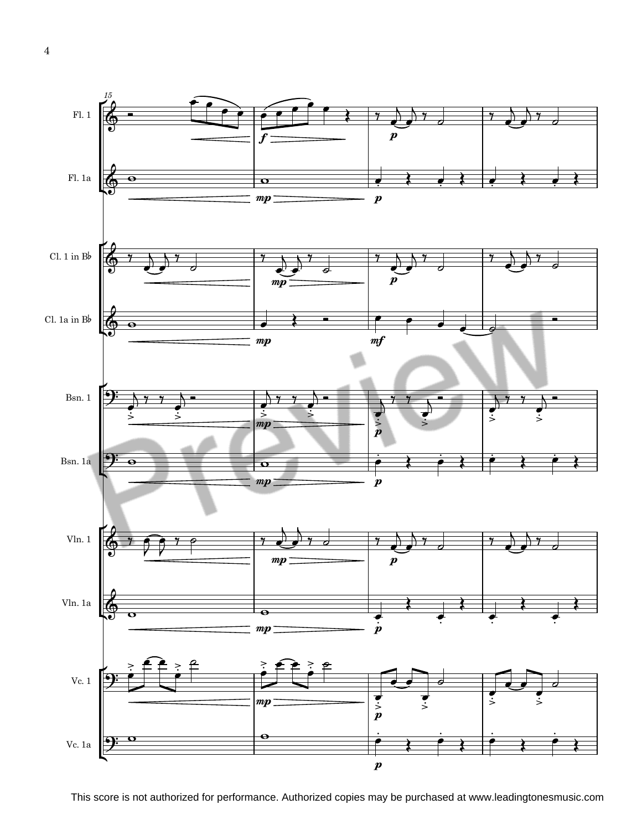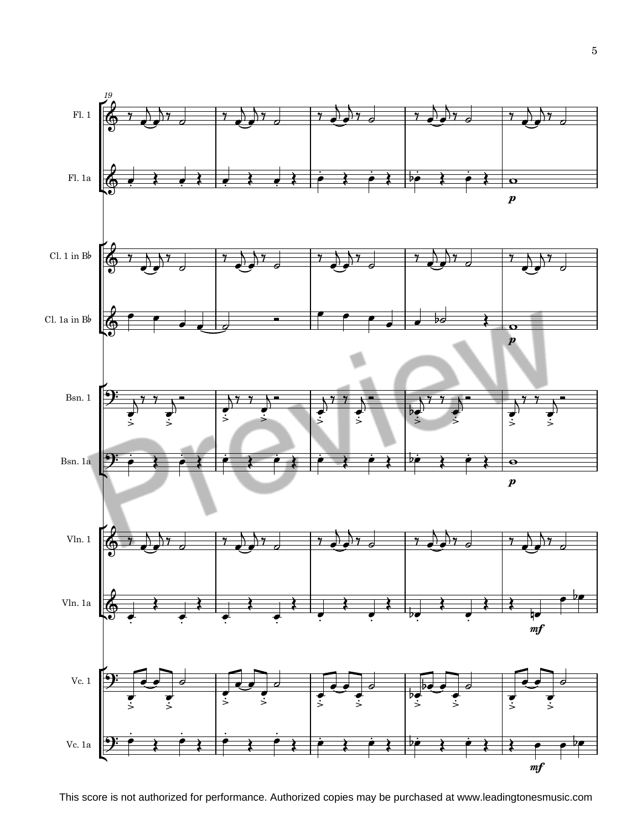

This score is not authorized for performance. Authorized copies may be purchased at www.leadingtonesmusic.com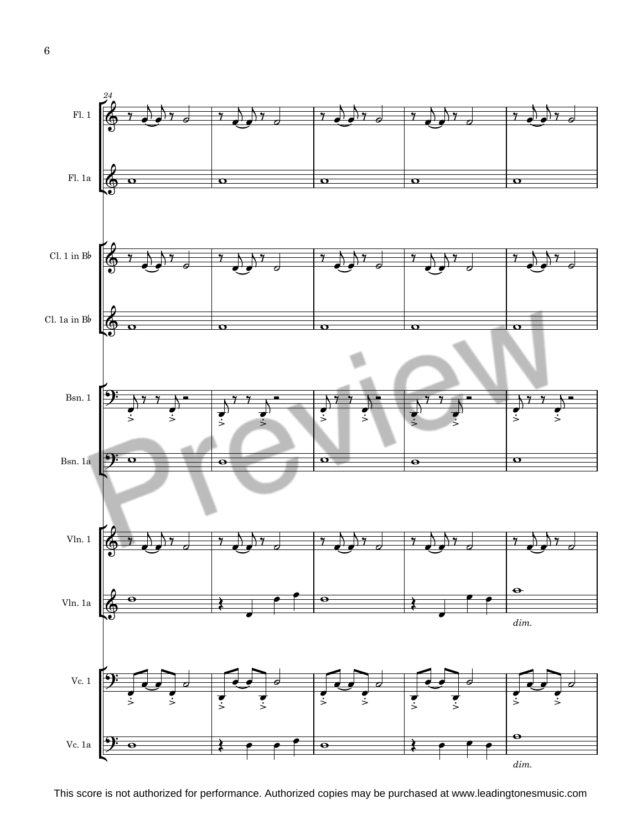

This score is not authorized for performance. Authorized copies may be purchased at www.leadingtonesmusic.com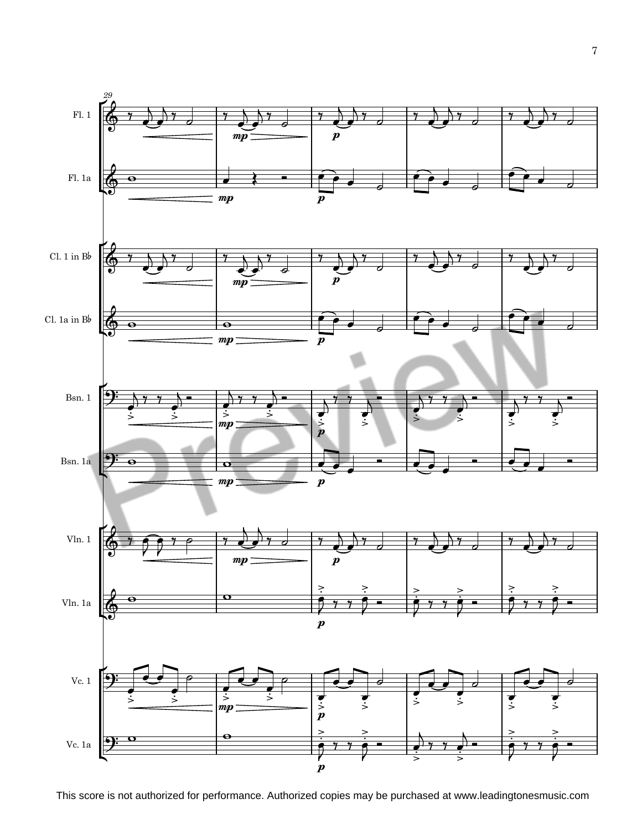

This score is not authorized for performance. Authorized copies may be purchased at www.leadingtonesmusic.com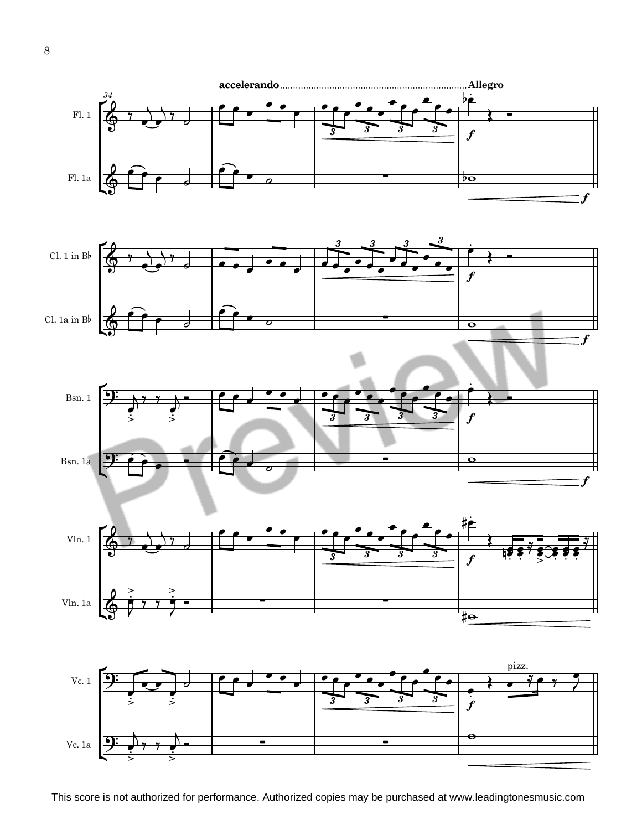

This score is not authorized for performance. Authorized copies may be purchased at www.leadingtonesmusic.com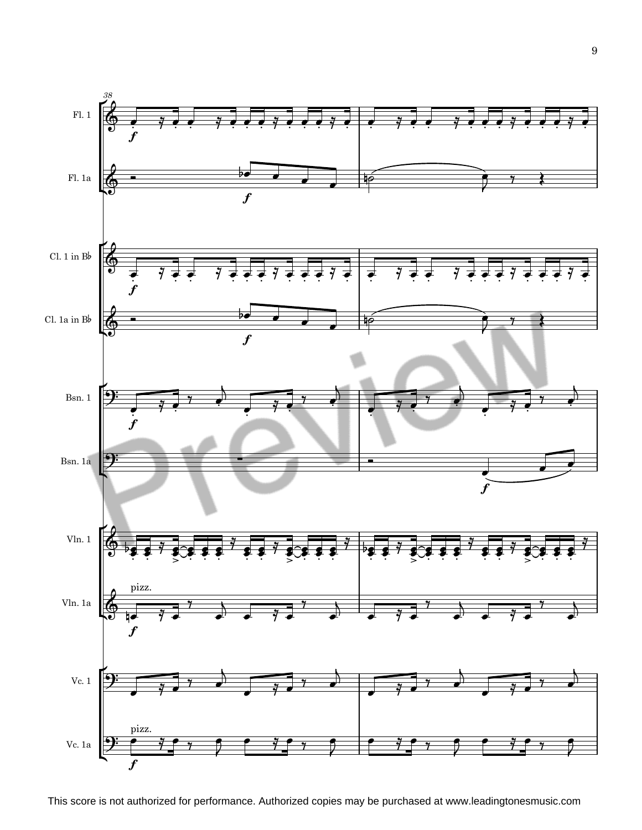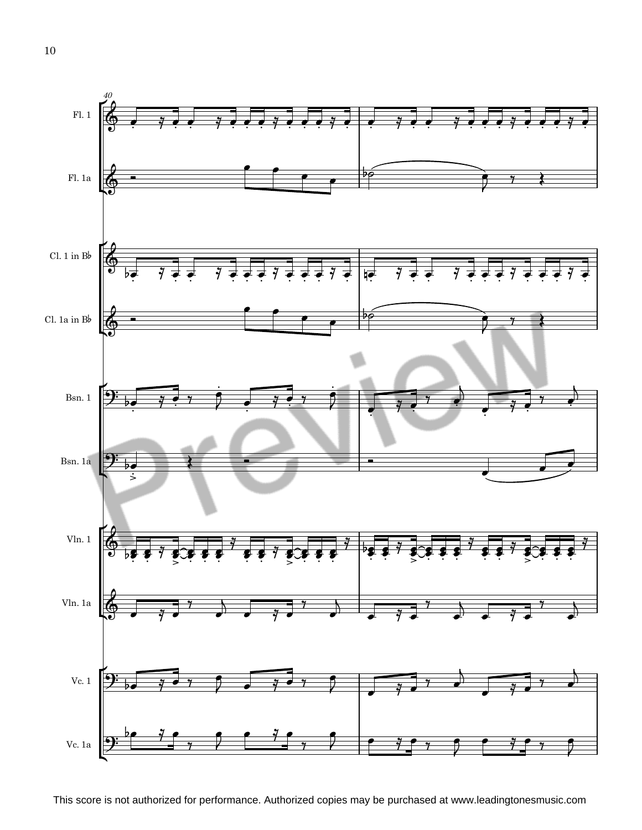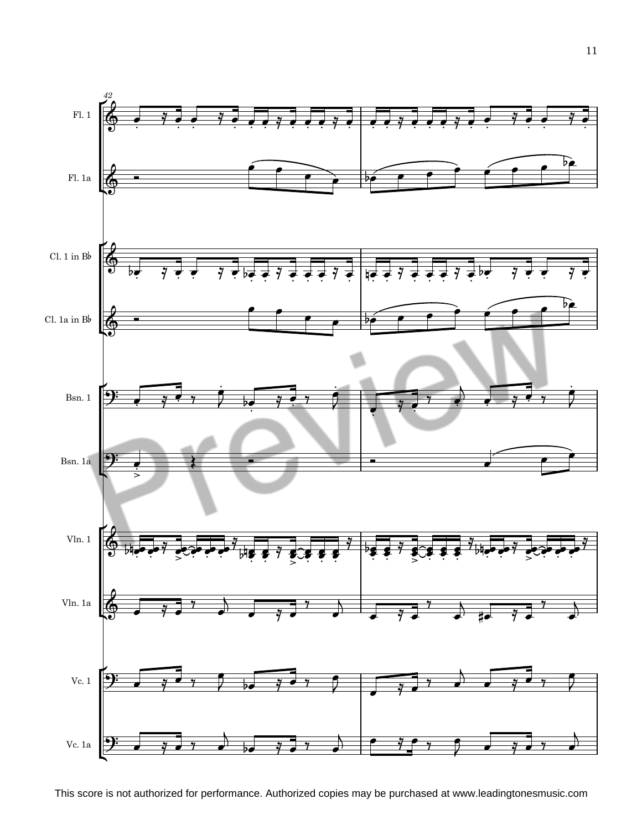

This score is not authorized for performance. Authorized copies may be purchased at www.leadingtonesmusic.com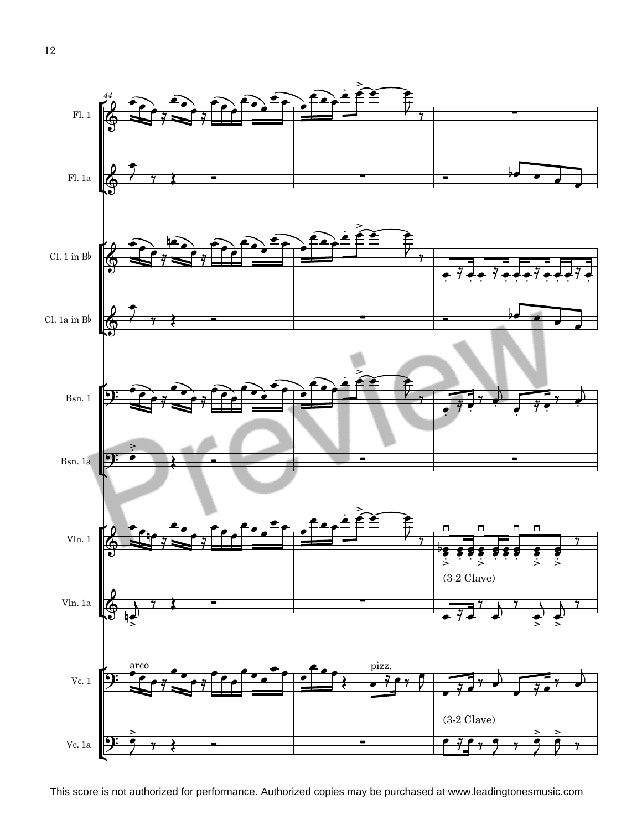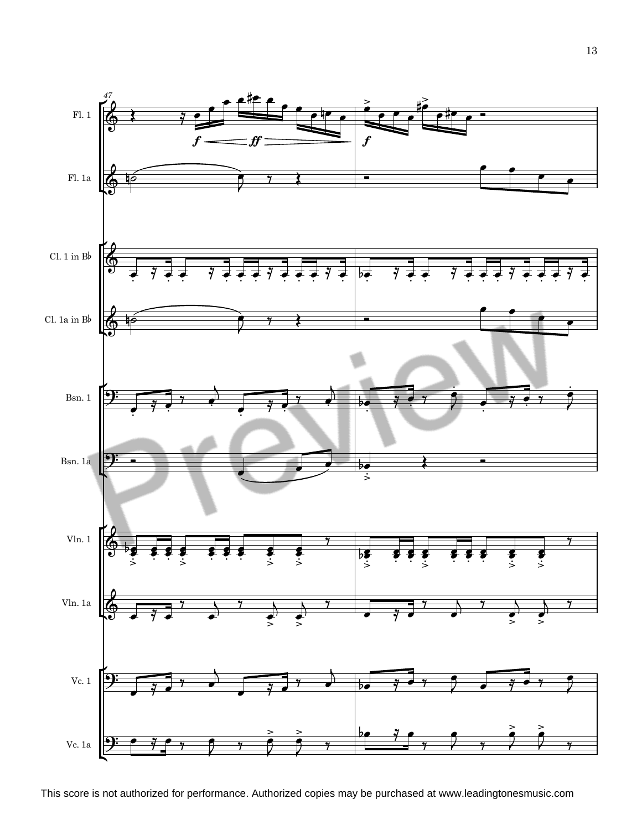

This score is not authorized for performance. Authorized copies may be purchased at www.leadingtonesmusic.com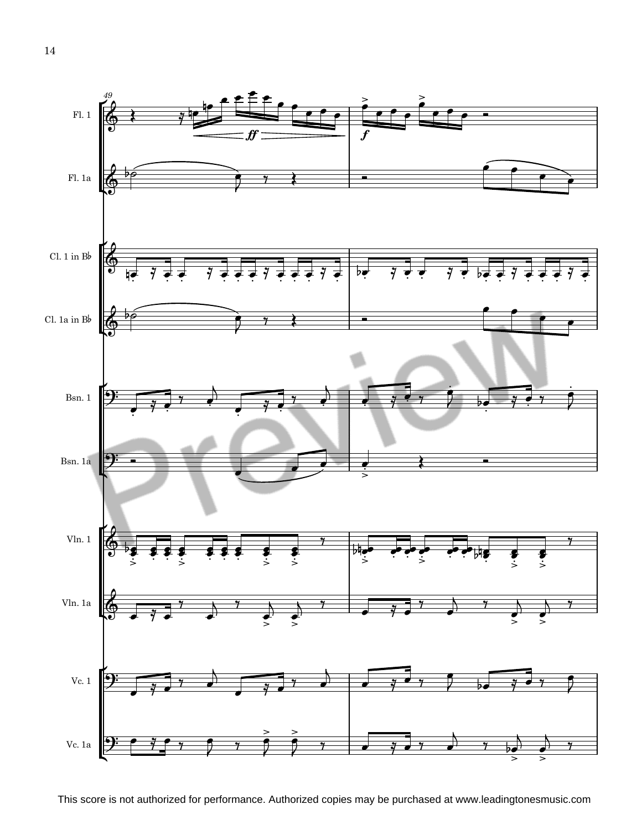

This score is not authorized for performance. Authorized copies may be purchased at www.leadingtonesmusic.com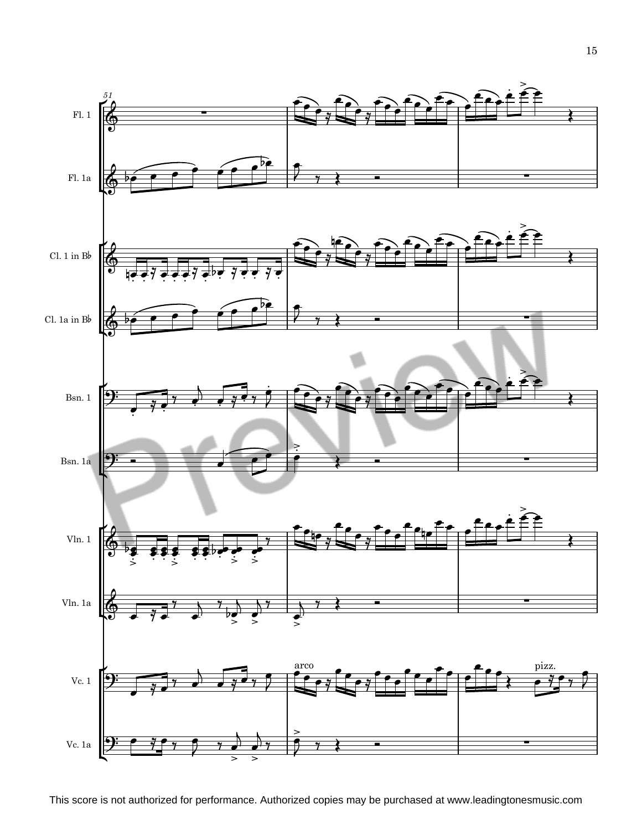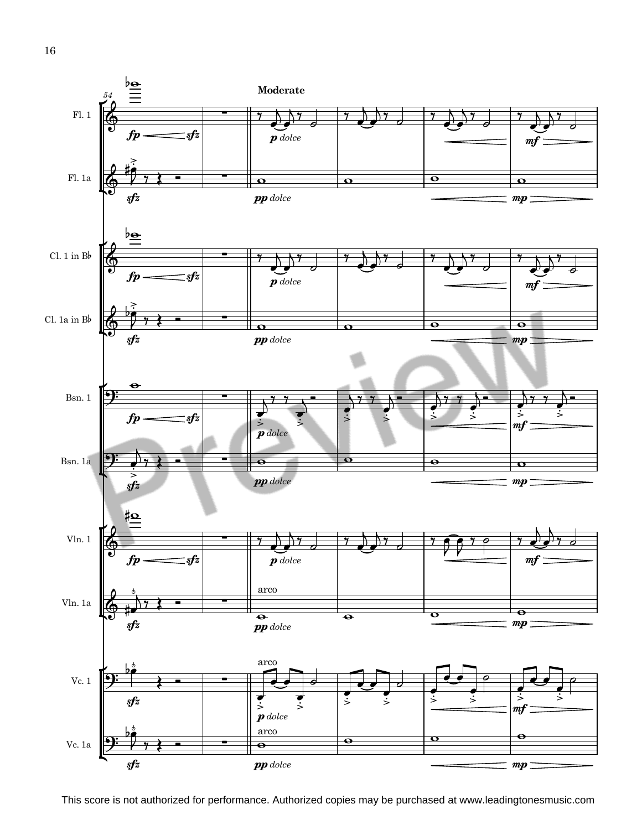